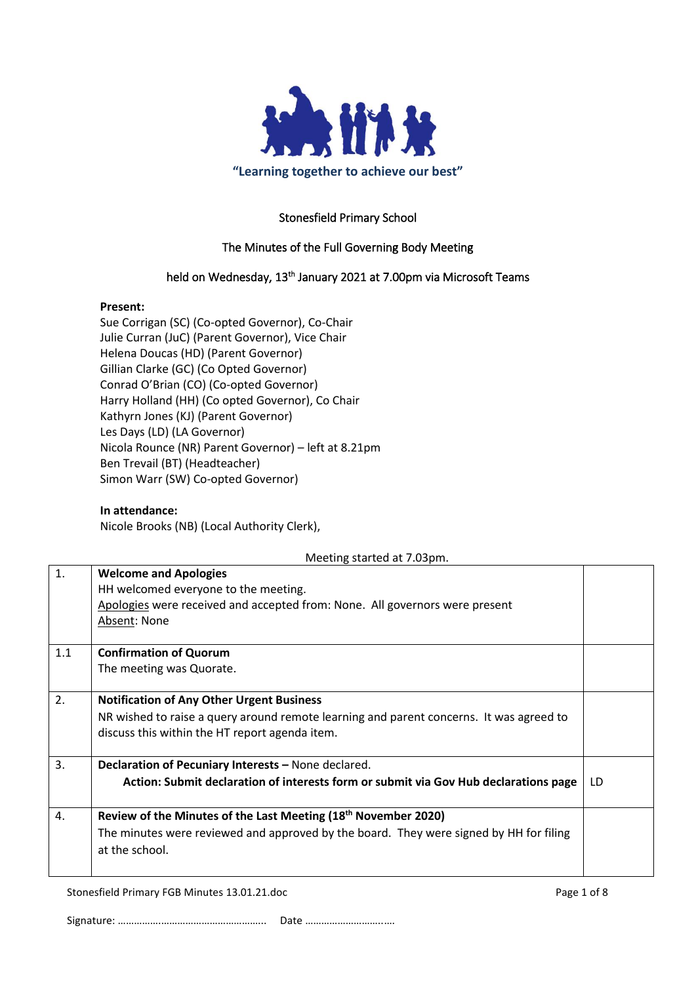

## Stonesfield Primary School

## The Minutes of the Full Governing Body Meeting

## held on Wednesday, 13<sup>th</sup> January 2021 at 7.00pm via Microsoft Teams

#### **Present:**

Sue Corrigan (SC) (Co-opted Governor), Co-Chair Julie Curran (JuC) (Parent Governor), Vice Chair Helena Doucas (HD) (Parent Governor) Gillian Clarke (GC) (Co Opted Governor) Conrad O'Brian (CO) (Co-opted Governor) Harry Holland (HH) (Co opted Governor), Co Chair Kathyrn Jones (KJ) (Parent Governor) Les Days (LD) (LA Governor) Nicola Rounce (NR) Parent Governor) – left at 8.21pm Ben Trevail (BT) (Headteacher) Simon Warr (SW) Co-opted Governor)

#### **In attendance:**

Nicole Brooks (NB) (Local Authority Clerk),

|     | Meeting started at 7.03pm.                                                                                                                                                                    |     |
|-----|-----------------------------------------------------------------------------------------------------------------------------------------------------------------------------------------------|-----|
| 1.  | <b>Welcome and Apologies</b><br>HH welcomed everyone to the meeting.<br>Apologies were received and accepted from: None. All governors were present<br>Absent: None                           |     |
| 1.1 | <b>Confirmation of Quorum</b><br>The meeting was Quorate.                                                                                                                                     |     |
| 2.  | <b>Notification of Any Other Urgent Business</b><br>NR wished to raise a query around remote learning and parent concerns. It was agreed to<br>discuss this within the HT report agenda item. |     |
| 3.  | Declaration of Pecuniary Interests - None declared.<br>Action: Submit declaration of interests form or submit via Gov Hub declarations page                                                   | LD. |
| 4.  | Review of the Minutes of the Last Meeting (18 <sup>th</sup> November 2020)<br>The minutes were reviewed and approved by the board. They were signed by HH for filing<br>at the school.        |     |

Stonesfield Primary FGB Minutes 13.01.21.doc Page 1 of 8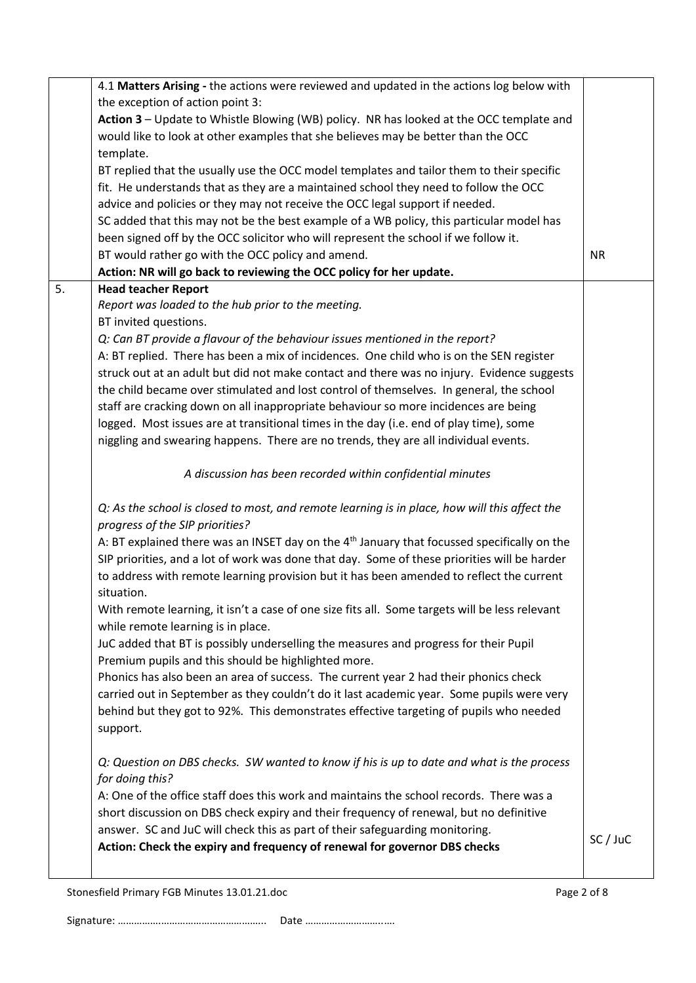| the exception of action point 3:<br>Action 3 - Update to Whistle Blowing (WB) policy. NR has looked at the OCC template and<br>would like to look at other examples that she believes may be better than the OCC<br>template.<br>BT replied that the usually use the OCC model templates and tailor them to their specific<br>fit. He understands that as they are a maintained school they need to follow the OCC<br>advice and policies or they may not receive the OCC legal support if needed.<br>SC added that this may not be the best example of a WB policy, this particular model has<br>been signed off by the OCC solicitor who will represent the school if we follow it.<br>BT would rather go with the OCC policy and amend.<br><b>NR</b><br>Action: NR will go back to reviewing the OCC policy for her update.<br>5.<br><b>Head teacher Report</b><br>Report was loaded to the hub prior to the meeting.<br>BT invited questions.<br>Q: Can BT provide a flavour of the behaviour issues mentioned in the report?<br>A: BT replied. There has been a mix of incidences. One child who is on the SEN register<br>struck out at an adult but did not make contact and there was no injury. Evidence suggests<br>the child became over stimulated and lost control of themselves. In general, the school<br>staff are cracking down on all inappropriate behaviour so more incidences are being<br>logged. Most issues are at transitional times in the day (i.e. end of play time), some<br>niggling and swearing happens. There are no trends, they are all individual events.<br>A discussion has been recorded within confidential minutes<br>Q: As the school is closed to most, and remote learning is in place, how will this affect the<br>progress of the SIP priorities?<br>A: BT explained there was an INSET day on the 4 <sup>th</sup> January that focussed specifically on the<br>SIP priorities, and a lot of work was done that day. Some of these priorities will be harder<br>to address with remote learning provision but it has been amended to reflect the current<br>situation.<br>With remote learning, it isn't a case of one size fits all. Some targets will be less relevant<br>while remote learning is in place.<br>JuC added that BT is possibly underselling the measures and progress for their Pupil<br>Premium pupils and this should be highlighted more.<br>Phonics has also been an area of success. The current year 2 had their phonics check<br>carried out in September as they couldn't do it last academic year. Some pupils were very<br>behind but they got to 92%. This demonstrates effective targeting of pupils who needed<br>support.<br>Q: Question on DBS checks. SW wanted to know if his is up to date and what is the process<br>for doing this?<br>A: One of the office staff does this work and maintains the school records. There was a<br>short discussion on DBS check expiry and their frequency of renewal, but no definitive<br>answer. SC and JuC will check this as part of their safeguarding monitoring.<br>SC / JuC<br>Action: Check the expiry and frequency of renewal for governor DBS checks | 4.1 Matters Arising - the actions were reviewed and updated in the actions log below with |  |
|--------------------------------------------------------------------------------------------------------------------------------------------------------------------------------------------------------------------------------------------------------------------------------------------------------------------------------------------------------------------------------------------------------------------------------------------------------------------------------------------------------------------------------------------------------------------------------------------------------------------------------------------------------------------------------------------------------------------------------------------------------------------------------------------------------------------------------------------------------------------------------------------------------------------------------------------------------------------------------------------------------------------------------------------------------------------------------------------------------------------------------------------------------------------------------------------------------------------------------------------------------------------------------------------------------------------------------------------------------------------------------------------------------------------------------------------------------------------------------------------------------------------------------------------------------------------------------------------------------------------------------------------------------------------------------------------------------------------------------------------------------------------------------------------------------------------------------------------------------------------------------------------------------------------------------------------------------------------------------------------------------------------------------------------------------------------------------------------------------------------------------------------------------------------------------------------------------------------------------------------------------------------------------------------------------------------------------------------------------------------------------------------------------------------------------------------------------------------------------------------------------------------------------------------------------------------------------------------------------------------------------------------------------------------------------------------------------------------------------------------------------------------------------------------------------------------------------------------------------------------------------------------------------------------------------------------------------------------------------------------------------------------------------------------------------------------------------------------------------------------------------------------------------------------------------------|-------------------------------------------------------------------------------------------|--|
|                                                                                                                                                                                                                                                                                                                                                                                                                                                                                                                                                                                                                                                                                                                                                                                                                                                                                                                                                                                                                                                                                                                                                                                                                                                                                                                                                                                                                                                                                                                                                                                                                                                                                                                                                                                                                                                                                                                                                                                                                                                                                                                                                                                                                                                                                                                                                                                                                                                                                                                                                                                                                                                                                                                                                                                                                                                                                                                                                                                                                                                                                                                                                                                      |                                                                                           |  |
|                                                                                                                                                                                                                                                                                                                                                                                                                                                                                                                                                                                                                                                                                                                                                                                                                                                                                                                                                                                                                                                                                                                                                                                                                                                                                                                                                                                                                                                                                                                                                                                                                                                                                                                                                                                                                                                                                                                                                                                                                                                                                                                                                                                                                                                                                                                                                                                                                                                                                                                                                                                                                                                                                                                                                                                                                                                                                                                                                                                                                                                                                                                                                                                      |                                                                                           |  |
|                                                                                                                                                                                                                                                                                                                                                                                                                                                                                                                                                                                                                                                                                                                                                                                                                                                                                                                                                                                                                                                                                                                                                                                                                                                                                                                                                                                                                                                                                                                                                                                                                                                                                                                                                                                                                                                                                                                                                                                                                                                                                                                                                                                                                                                                                                                                                                                                                                                                                                                                                                                                                                                                                                                                                                                                                                                                                                                                                                                                                                                                                                                                                                                      |                                                                                           |  |
|                                                                                                                                                                                                                                                                                                                                                                                                                                                                                                                                                                                                                                                                                                                                                                                                                                                                                                                                                                                                                                                                                                                                                                                                                                                                                                                                                                                                                                                                                                                                                                                                                                                                                                                                                                                                                                                                                                                                                                                                                                                                                                                                                                                                                                                                                                                                                                                                                                                                                                                                                                                                                                                                                                                                                                                                                                                                                                                                                                                                                                                                                                                                                                                      |                                                                                           |  |
|                                                                                                                                                                                                                                                                                                                                                                                                                                                                                                                                                                                                                                                                                                                                                                                                                                                                                                                                                                                                                                                                                                                                                                                                                                                                                                                                                                                                                                                                                                                                                                                                                                                                                                                                                                                                                                                                                                                                                                                                                                                                                                                                                                                                                                                                                                                                                                                                                                                                                                                                                                                                                                                                                                                                                                                                                                                                                                                                                                                                                                                                                                                                                                                      |                                                                                           |  |
|                                                                                                                                                                                                                                                                                                                                                                                                                                                                                                                                                                                                                                                                                                                                                                                                                                                                                                                                                                                                                                                                                                                                                                                                                                                                                                                                                                                                                                                                                                                                                                                                                                                                                                                                                                                                                                                                                                                                                                                                                                                                                                                                                                                                                                                                                                                                                                                                                                                                                                                                                                                                                                                                                                                                                                                                                                                                                                                                                                                                                                                                                                                                                                                      |                                                                                           |  |
|                                                                                                                                                                                                                                                                                                                                                                                                                                                                                                                                                                                                                                                                                                                                                                                                                                                                                                                                                                                                                                                                                                                                                                                                                                                                                                                                                                                                                                                                                                                                                                                                                                                                                                                                                                                                                                                                                                                                                                                                                                                                                                                                                                                                                                                                                                                                                                                                                                                                                                                                                                                                                                                                                                                                                                                                                                                                                                                                                                                                                                                                                                                                                                                      |                                                                                           |  |
|                                                                                                                                                                                                                                                                                                                                                                                                                                                                                                                                                                                                                                                                                                                                                                                                                                                                                                                                                                                                                                                                                                                                                                                                                                                                                                                                                                                                                                                                                                                                                                                                                                                                                                                                                                                                                                                                                                                                                                                                                                                                                                                                                                                                                                                                                                                                                                                                                                                                                                                                                                                                                                                                                                                                                                                                                                                                                                                                                                                                                                                                                                                                                                                      |                                                                                           |  |
|                                                                                                                                                                                                                                                                                                                                                                                                                                                                                                                                                                                                                                                                                                                                                                                                                                                                                                                                                                                                                                                                                                                                                                                                                                                                                                                                                                                                                                                                                                                                                                                                                                                                                                                                                                                                                                                                                                                                                                                                                                                                                                                                                                                                                                                                                                                                                                                                                                                                                                                                                                                                                                                                                                                                                                                                                                                                                                                                                                                                                                                                                                                                                                                      |                                                                                           |  |
|                                                                                                                                                                                                                                                                                                                                                                                                                                                                                                                                                                                                                                                                                                                                                                                                                                                                                                                                                                                                                                                                                                                                                                                                                                                                                                                                                                                                                                                                                                                                                                                                                                                                                                                                                                                                                                                                                                                                                                                                                                                                                                                                                                                                                                                                                                                                                                                                                                                                                                                                                                                                                                                                                                                                                                                                                                                                                                                                                                                                                                                                                                                                                                                      |                                                                                           |  |
|                                                                                                                                                                                                                                                                                                                                                                                                                                                                                                                                                                                                                                                                                                                                                                                                                                                                                                                                                                                                                                                                                                                                                                                                                                                                                                                                                                                                                                                                                                                                                                                                                                                                                                                                                                                                                                                                                                                                                                                                                                                                                                                                                                                                                                                                                                                                                                                                                                                                                                                                                                                                                                                                                                                                                                                                                                                                                                                                                                                                                                                                                                                                                                                      |                                                                                           |  |
|                                                                                                                                                                                                                                                                                                                                                                                                                                                                                                                                                                                                                                                                                                                                                                                                                                                                                                                                                                                                                                                                                                                                                                                                                                                                                                                                                                                                                                                                                                                                                                                                                                                                                                                                                                                                                                                                                                                                                                                                                                                                                                                                                                                                                                                                                                                                                                                                                                                                                                                                                                                                                                                                                                                                                                                                                                                                                                                                                                                                                                                                                                                                                                                      |                                                                                           |  |
|                                                                                                                                                                                                                                                                                                                                                                                                                                                                                                                                                                                                                                                                                                                                                                                                                                                                                                                                                                                                                                                                                                                                                                                                                                                                                                                                                                                                                                                                                                                                                                                                                                                                                                                                                                                                                                                                                                                                                                                                                                                                                                                                                                                                                                                                                                                                                                                                                                                                                                                                                                                                                                                                                                                                                                                                                                                                                                                                                                                                                                                                                                                                                                                      |                                                                                           |  |
|                                                                                                                                                                                                                                                                                                                                                                                                                                                                                                                                                                                                                                                                                                                                                                                                                                                                                                                                                                                                                                                                                                                                                                                                                                                                                                                                                                                                                                                                                                                                                                                                                                                                                                                                                                                                                                                                                                                                                                                                                                                                                                                                                                                                                                                                                                                                                                                                                                                                                                                                                                                                                                                                                                                                                                                                                                                                                                                                                                                                                                                                                                                                                                                      |                                                                                           |  |
|                                                                                                                                                                                                                                                                                                                                                                                                                                                                                                                                                                                                                                                                                                                                                                                                                                                                                                                                                                                                                                                                                                                                                                                                                                                                                                                                                                                                                                                                                                                                                                                                                                                                                                                                                                                                                                                                                                                                                                                                                                                                                                                                                                                                                                                                                                                                                                                                                                                                                                                                                                                                                                                                                                                                                                                                                                                                                                                                                                                                                                                                                                                                                                                      |                                                                                           |  |
|                                                                                                                                                                                                                                                                                                                                                                                                                                                                                                                                                                                                                                                                                                                                                                                                                                                                                                                                                                                                                                                                                                                                                                                                                                                                                                                                                                                                                                                                                                                                                                                                                                                                                                                                                                                                                                                                                                                                                                                                                                                                                                                                                                                                                                                                                                                                                                                                                                                                                                                                                                                                                                                                                                                                                                                                                                                                                                                                                                                                                                                                                                                                                                                      |                                                                                           |  |
|                                                                                                                                                                                                                                                                                                                                                                                                                                                                                                                                                                                                                                                                                                                                                                                                                                                                                                                                                                                                                                                                                                                                                                                                                                                                                                                                                                                                                                                                                                                                                                                                                                                                                                                                                                                                                                                                                                                                                                                                                                                                                                                                                                                                                                                                                                                                                                                                                                                                                                                                                                                                                                                                                                                                                                                                                                                                                                                                                                                                                                                                                                                                                                                      |                                                                                           |  |
|                                                                                                                                                                                                                                                                                                                                                                                                                                                                                                                                                                                                                                                                                                                                                                                                                                                                                                                                                                                                                                                                                                                                                                                                                                                                                                                                                                                                                                                                                                                                                                                                                                                                                                                                                                                                                                                                                                                                                                                                                                                                                                                                                                                                                                                                                                                                                                                                                                                                                                                                                                                                                                                                                                                                                                                                                                                                                                                                                                                                                                                                                                                                                                                      |                                                                                           |  |
|                                                                                                                                                                                                                                                                                                                                                                                                                                                                                                                                                                                                                                                                                                                                                                                                                                                                                                                                                                                                                                                                                                                                                                                                                                                                                                                                                                                                                                                                                                                                                                                                                                                                                                                                                                                                                                                                                                                                                                                                                                                                                                                                                                                                                                                                                                                                                                                                                                                                                                                                                                                                                                                                                                                                                                                                                                                                                                                                                                                                                                                                                                                                                                                      |                                                                                           |  |
|                                                                                                                                                                                                                                                                                                                                                                                                                                                                                                                                                                                                                                                                                                                                                                                                                                                                                                                                                                                                                                                                                                                                                                                                                                                                                                                                                                                                                                                                                                                                                                                                                                                                                                                                                                                                                                                                                                                                                                                                                                                                                                                                                                                                                                                                                                                                                                                                                                                                                                                                                                                                                                                                                                                                                                                                                                                                                                                                                                                                                                                                                                                                                                                      |                                                                                           |  |
|                                                                                                                                                                                                                                                                                                                                                                                                                                                                                                                                                                                                                                                                                                                                                                                                                                                                                                                                                                                                                                                                                                                                                                                                                                                                                                                                                                                                                                                                                                                                                                                                                                                                                                                                                                                                                                                                                                                                                                                                                                                                                                                                                                                                                                                                                                                                                                                                                                                                                                                                                                                                                                                                                                                                                                                                                                                                                                                                                                                                                                                                                                                                                                                      |                                                                                           |  |
|                                                                                                                                                                                                                                                                                                                                                                                                                                                                                                                                                                                                                                                                                                                                                                                                                                                                                                                                                                                                                                                                                                                                                                                                                                                                                                                                                                                                                                                                                                                                                                                                                                                                                                                                                                                                                                                                                                                                                                                                                                                                                                                                                                                                                                                                                                                                                                                                                                                                                                                                                                                                                                                                                                                                                                                                                                                                                                                                                                                                                                                                                                                                                                                      |                                                                                           |  |
|                                                                                                                                                                                                                                                                                                                                                                                                                                                                                                                                                                                                                                                                                                                                                                                                                                                                                                                                                                                                                                                                                                                                                                                                                                                                                                                                                                                                                                                                                                                                                                                                                                                                                                                                                                                                                                                                                                                                                                                                                                                                                                                                                                                                                                                                                                                                                                                                                                                                                                                                                                                                                                                                                                                                                                                                                                                                                                                                                                                                                                                                                                                                                                                      |                                                                                           |  |
|                                                                                                                                                                                                                                                                                                                                                                                                                                                                                                                                                                                                                                                                                                                                                                                                                                                                                                                                                                                                                                                                                                                                                                                                                                                                                                                                                                                                                                                                                                                                                                                                                                                                                                                                                                                                                                                                                                                                                                                                                                                                                                                                                                                                                                                                                                                                                                                                                                                                                                                                                                                                                                                                                                                                                                                                                                                                                                                                                                                                                                                                                                                                                                                      |                                                                                           |  |
|                                                                                                                                                                                                                                                                                                                                                                                                                                                                                                                                                                                                                                                                                                                                                                                                                                                                                                                                                                                                                                                                                                                                                                                                                                                                                                                                                                                                                                                                                                                                                                                                                                                                                                                                                                                                                                                                                                                                                                                                                                                                                                                                                                                                                                                                                                                                                                                                                                                                                                                                                                                                                                                                                                                                                                                                                                                                                                                                                                                                                                                                                                                                                                                      |                                                                                           |  |
|                                                                                                                                                                                                                                                                                                                                                                                                                                                                                                                                                                                                                                                                                                                                                                                                                                                                                                                                                                                                                                                                                                                                                                                                                                                                                                                                                                                                                                                                                                                                                                                                                                                                                                                                                                                                                                                                                                                                                                                                                                                                                                                                                                                                                                                                                                                                                                                                                                                                                                                                                                                                                                                                                                                                                                                                                                                                                                                                                                                                                                                                                                                                                                                      |                                                                                           |  |
|                                                                                                                                                                                                                                                                                                                                                                                                                                                                                                                                                                                                                                                                                                                                                                                                                                                                                                                                                                                                                                                                                                                                                                                                                                                                                                                                                                                                                                                                                                                                                                                                                                                                                                                                                                                                                                                                                                                                                                                                                                                                                                                                                                                                                                                                                                                                                                                                                                                                                                                                                                                                                                                                                                                                                                                                                                                                                                                                                                                                                                                                                                                                                                                      |                                                                                           |  |
|                                                                                                                                                                                                                                                                                                                                                                                                                                                                                                                                                                                                                                                                                                                                                                                                                                                                                                                                                                                                                                                                                                                                                                                                                                                                                                                                                                                                                                                                                                                                                                                                                                                                                                                                                                                                                                                                                                                                                                                                                                                                                                                                                                                                                                                                                                                                                                                                                                                                                                                                                                                                                                                                                                                                                                                                                                                                                                                                                                                                                                                                                                                                                                                      |                                                                                           |  |
|                                                                                                                                                                                                                                                                                                                                                                                                                                                                                                                                                                                                                                                                                                                                                                                                                                                                                                                                                                                                                                                                                                                                                                                                                                                                                                                                                                                                                                                                                                                                                                                                                                                                                                                                                                                                                                                                                                                                                                                                                                                                                                                                                                                                                                                                                                                                                                                                                                                                                                                                                                                                                                                                                                                                                                                                                                                                                                                                                                                                                                                                                                                                                                                      |                                                                                           |  |
|                                                                                                                                                                                                                                                                                                                                                                                                                                                                                                                                                                                                                                                                                                                                                                                                                                                                                                                                                                                                                                                                                                                                                                                                                                                                                                                                                                                                                                                                                                                                                                                                                                                                                                                                                                                                                                                                                                                                                                                                                                                                                                                                                                                                                                                                                                                                                                                                                                                                                                                                                                                                                                                                                                                                                                                                                                                                                                                                                                                                                                                                                                                                                                                      |                                                                                           |  |
|                                                                                                                                                                                                                                                                                                                                                                                                                                                                                                                                                                                                                                                                                                                                                                                                                                                                                                                                                                                                                                                                                                                                                                                                                                                                                                                                                                                                                                                                                                                                                                                                                                                                                                                                                                                                                                                                                                                                                                                                                                                                                                                                                                                                                                                                                                                                                                                                                                                                                                                                                                                                                                                                                                                                                                                                                                                                                                                                                                                                                                                                                                                                                                                      |                                                                                           |  |
|                                                                                                                                                                                                                                                                                                                                                                                                                                                                                                                                                                                                                                                                                                                                                                                                                                                                                                                                                                                                                                                                                                                                                                                                                                                                                                                                                                                                                                                                                                                                                                                                                                                                                                                                                                                                                                                                                                                                                                                                                                                                                                                                                                                                                                                                                                                                                                                                                                                                                                                                                                                                                                                                                                                                                                                                                                                                                                                                                                                                                                                                                                                                                                                      |                                                                                           |  |
|                                                                                                                                                                                                                                                                                                                                                                                                                                                                                                                                                                                                                                                                                                                                                                                                                                                                                                                                                                                                                                                                                                                                                                                                                                                                                                                                                                                                                                                                                                                                                                                                                                                                                                                                                                                                                                                                                                                                                                                                                                                                                                                                                                                                                                                                                                                                                                                                                                                                                                                                                                                                                                                                                                                                                                                                                                                                                                                                                                                                                                                                                                                                                                                      |                                                                                           |  |
|                                                                                                                                                                                                                                                                                                                                                                                                                                                                                                                                                                                                                                                                                                                                                                                                                                                                                                                                                                                                                                                                                                                                                                                                                                                                                                                                                                                                                                                                                                                                                                                                                                                                                                                                                                                                                                                                                                                                                                                                                                                                                                                                                                                                                                                                                                                                                                                                                                                                                                                                                                                                                                                                                                                                                                                                                                                                                                                                                                                                                                                                                                                                                                                      |                                                                                           |  |
|                                                                                                                                                                                                                                                                                                                                                                                                                                                                                                                                                                                                                                                                                                                                                                                                                                                                                                                                                                                                                                                                                                                                                                                                                                                                                                                                                                                                                                                                                                                                                                                                                                                                                                                                                                                                                                                                                                                                                                                                                                                                                                                                                                                                                                                                                                                                                                                                                                                                                                                                                                                                                                                                                                                                                                                                                                                                                                                                                                                                                                                                                                                                                                                      |                                                                                           |  |
|                                                                                                                                                                                                                                                                                                                                                                                                                                                                                                                                                                                                                                                                                                                                                                                                                                                                                                                                                                                                                                                                                                                                                                                                                                                                                                                                                                                                                                                                                                                                                                                                                                                                                                                                                                                                                                                                                                                                                                                                                                                                                                                                                                                                                                                                                                                                                                                                                                                                                                                                                                                                                                                                                                                                                                                                                                                                                                                                                                                                                                                                                                                                                                                      |                                                                                           |  |
|                                                                                                                                                                                                                                                                                                                                                                                                                                                                                                                                                                                                                                                                                                                                                                                                                                                                                                                                                                                                                                                                                                                                                                                                                                                                                                                                                                                                                                                                                                                                                                                                                                                                                                                                                                                                                                                                                                                                                                                                                                                                                                                                                                                                                                                                                                                                                                                                                                                                                                                                                                                                                                                                                                                                                                                                                                                                                                                                                                                                                                                                                                                                                                                      |                                                                                           |  |
|                                                                                                                                                                                                                                                                                                                                                                                                                                                                                                                                                                                                                                                                                                                                                                                                                                                                                                                                                                                                                                                                                                                                                                                                                                                                                                                                                                                                                                                                                                                                                                                                                                                                                                                                                                                                                                                                                                                                                                                                                                                                                                                                                                                                                                                                                                                                                                                                                                                                                                                                                                                                                                                                                                                                                                                                                                                                                                                                                                                                                                                                                                                                                                                      |                                                                                           |  |
|                                                                                                                                                                                                                                                                                                                                                                                                                                                                                                                                                                                                                                                                                                                                                                                                                                                                                                                                                                                                                                                                                                                                                                                                                                                                                                                                                                                                                                                                                                                                                                                                                                                                                                                                                                                                                                                                                                                                                                                                                                                                                                                                                                                                                                                                                                                                                                                                                                                                                                                                                                                                                                                                                                                                                                                                                                                                                                                                                                                                                                                                                                                                                                                      |                                                                                           |  |
|                                                                                                                                                                                                                                                                                                                                                                                                                                                                                                                                                                                                                                                                                                                                                                                                                                                                                                                                                                                                                                                                                                                                                                                                                                                                                                                                                                                                                                                                                                                                                                                                                                                                                                                                                                                                                                                                                                                                                                                                                                                                                                                                                                                                                                                                                                                                                                                                                                                                                                                                                                                                                                                                                                                                                                                                                                                                                                                                                                                                                                                                                                                                                                                      |                                                                                           |  |
|                                                                                                                                                                                                                                                                                                                                                                                                                                                                                                                                                                                                                                                                                                                                                                                                                                                                                                                                                                                                                                                                                                                                                                                                                                                                                                                                                                                                                                                                                                                                                                                                                                                                                                                                                                                                                                                                                                                                                                                                                                                                                                                                                                                                                                                                                                                                                                                                                                                                                                                                                                                                                                                                                                                                                                                                                                                                                                                                                                                                                                                                                                                                                                                      |                                                                                           |  |
|                                                                                                                                                                                                                                                                                                                                                                                                                                                                                                                                                                                                                                                                                                                                                                                                                                                                                                                                                                                                                                                                                                                                                                                                                                                                                                                                                                                                                                                                                                                                                                                                                                                                                                                                                                                                                                                                                                                                                                                                                                                                                                                                                                                                                                                                                                                                                                                                                                                                                                                                                                                                                                                                                                                                                                                                                                                                                                                                                                                                                                                                                                                                                                                      |                                                                                           |  |
|                                                                                                                                                                                                                                                                                                                                                                                                                                                                                                                                                                                                                                                                                                                                                                                                                                                                                                                                                                                                                                                                                                                                                                                                                                                                                                                                                                                                                                                                                                                                                                                                                                                                                                                                                                                                                                                                                                                                                                                                                                                                                                                                                                                                                                                                                                                                                                                                                                                                                                                                                                                                                                                                                                                                                                                                                                                                                                                                                                                                                                                                                                                                                                                      |                                                                                           |  |
|                                                                                                                                                                                                                                                                                                                                                                                                                                                                                                                                                                                                                                                                                                                                                                                                                                                                                                                                                                                                                                                                                                                                                                                                                                                                                                                                                                                                                                                                                                                                                                                                                                                                                                                                                                                                                                                                                                                                                                                                                                                                                                                                                                                                                                                                                                                                                                                                                                                                                                                                                                                                                                                                                                                                                                                                                                                                                                                                                                                                                                                                                                                                                                                      |                                                                                           |  |
|                                                                                                                                                                                                                                                                                                                                                                                                                                                                                                                                                                                                                                                                                                                                                                                                                                                                                                                                                                                                                                                                                                                                                                                                                                                                                                                                                                                                                                                                                                                                                                                                                                                                                                                                                                                                                                                                                                                                                                                                                                                                                                                                                                                                                                                                                                                                                                                                                                                                                                                                                                                                                                                                                                                                                                                                                                                                                                                                                                                                                                                                                                                                                                                      |                                                                                           |  |
|                                                                                                                                                                                                                                                                                                                                                                                                                                                                                                                                                                                                                                                                                                                                                                                                                                                                                                                                                                                                                                                                                                                                                                                                                                                                                                                                                                                                                                                                                                                                                                                                                                                                                                                                                                                                                                                                                                                                                                                                                                                                                                                                                                                                                                                                                                                                                                                                                                                                                                                                                                                                                                                                                                                                                                                                                                                                                                                                                                                                                                                                                                                                                                                      |                                                                                           |  |
|                                                                                                                                                                                                                                                                                                                                                                                                                                                                                                                                                                                                                                                                                                                                                                                                                                                                                                                                                                                                                                                                                                                                                                                                                                                                                                                                                                                                                                                                                                                                                                                                                                                                                                                                                                                                                                                                                                                                                                                                                                                                                                                                                                                                                                                                                                                                                                                                                                                                                                                                                                                                                                                                                                                                                                                                                                                                                                                                                                                                                                                                                                                                                                                      |                                                                                           |  |
|                                                                                                                                                                                                                                                                                                                                                                                                                                                                                                                                                                                                                                                                                                                                                                                                                                                                                                                                                                                                                                                                                                                                                                                                                                                                                                                                                                                                                                                                                                                                                                                                                                                                                                                                                                                                                                                                                                                                                                                                                                                                                                                                                                                                                                                                                                                                                                                                                                                                                                                                                                                                                                                                                                                                                                                                                                                                                                                                                                                                                                                                                                                                                                                      |                                                                                           |  |

Stonesfield Primary FGB Minutes 13.01.21.doc Page 2 of 8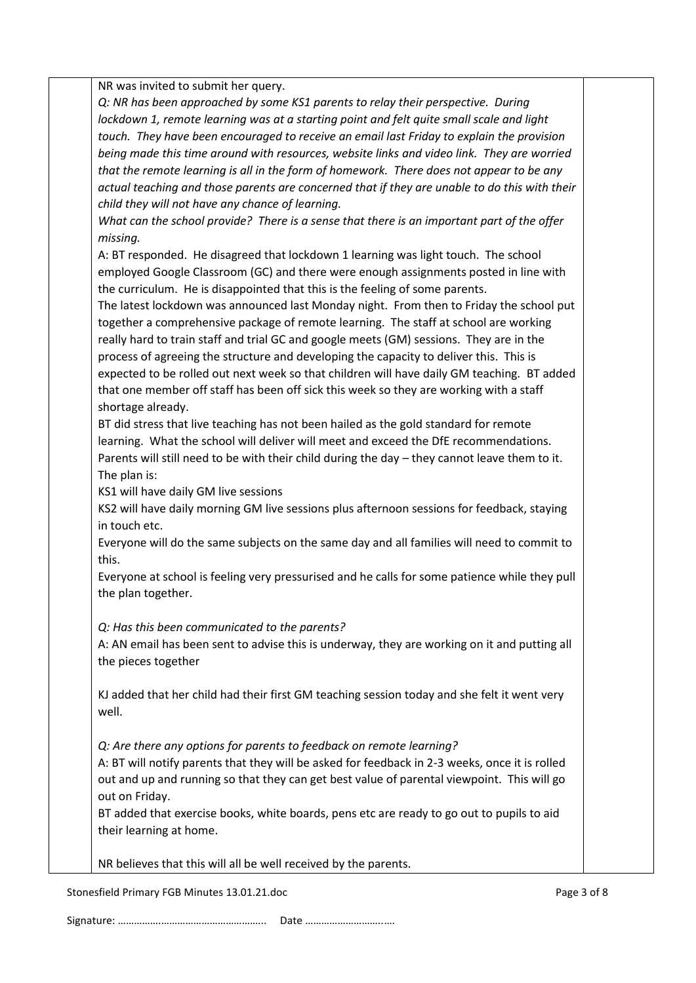NR was invited to submit her query.

*Q: NR has been approached by some KS1 parents to relay their perspective. During lockdown 1, remote learning was at a starting point and felt quite small scale and light touch. They have been encouraged to receive an email last Friday to explain the provision being made this time around with resources, website links and video link. They are worried that the remote learning is all in the form of homework. There does not appear to be any actual teaching and those parents are concerned that if they are unable to do this with their child they will not have any chance of learning.*

*What can the school provide? There is a sense that there is an important part of the offer missing.*

A: BT responded. He disagreed that lockdown 1 learning was light touch. The school employed Google Classroom (GC) and there were enough assignments posted in line with the curriculum. He is disappointed that this is the feeling of some parents.

The latest lockdown was announced last Monday night. From then to Friday the school put together a comprehensive package of remote learning. The staff at school are working really hard to train staff and trial GC and google meets (GM) sessions. They are in the process of agreeing the structure and developing the capacity to deliver this. This is expected to be rolled out next week so that children will have daily GM teaching. BT added that one member off staff has been off sick this week so they are working with a staff shortage already.

BT did stress that live teaching has not been hailed as the gold standard for remote learning. What the school will deliver will meet and exceed the DfE recommendations. Parents will still need to be with their child during the day – they cannot leave them to it. The plan is:

KS1 will have daily GM live sessions

KS2 will have daily morning GM live sessions plus afternoon sessions for feedback, staying in touch etc.

Everyone will do the same subjects on the same day and all families will need to commit to this.

Everyone at school is feeling very pressurised and he calls for some patience while they pull the plan together.

*Q: Has this been communicated to the parents?*

A: AN email has been sent to advise this is underway, they are working on it and putting all the pieces together

KJ added that her child had their first GM teaching session today and she felt it went very well.

*Q: Are there any options for parents to feedback on remote learning?*

A: BT will notify parents that they will be asked for feedback in 2-3 weeks, once it is rolled out and up and running so that they can get best value of parental viewpoint. This will go out on Friday.

BT added that exercise books, white boards, pens etc are ready to go out to pupils to aid their learning at home.

NR believes that this will all be well received by the parents.

Stonesfield Primary FGB Minutes 13.01.21.doc **Page 3 of 8** and 2012 11:00 Page 3 of 8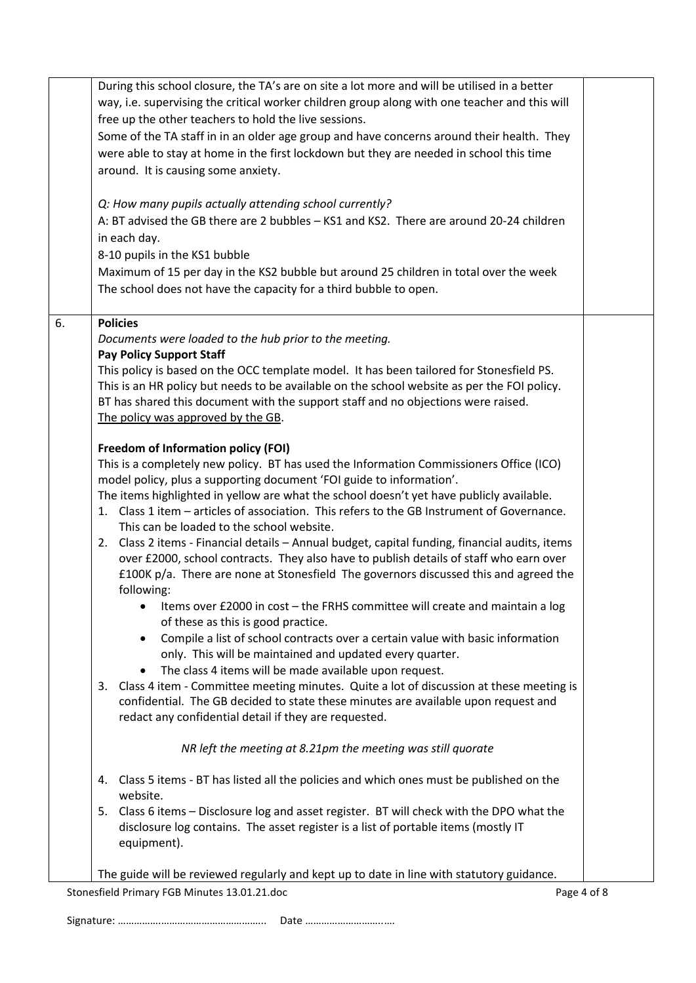|    | way, i.e. supervising the critical worker children group along with one teacher and this will<br>free up the other teachers to hold the live sessions.                                                                                                                                                                                                            |             |
|----|-------------------------------------------------------------------------------------------------------------------------------------------------------------------------------------------------------------------------------------------------------------------------------------------------------------------------------------------------------------------|-------------|
|    | Some of the TA staff in in an older age group and have concerns around their health. They<br>were able to stay at home in the first lockdown but they are needed in school this time<br>around. It is causing some anxiety.                                                                                                                                       |             |
|    | Q: How many pupils actually attending school currently?<br>A: BT advised the GB there are 2 bubbles - KS1 and KS2. There are around 20-24 children<br>in each day.<br>8-10 pupils in the KS1 bubble<br>Maximum of 15 per day in the KS2 bubble but around 25 children in total over the week<br>The school does not have the capacity for a third bubble to open. |             |
| 6. | <b>Policies</b>                                                                                                                                                                                                                                                                                                                                                   |             |
|    | Documents were loaded to the hub prior to the meeting.<br><b>Pay Policy Support Staff</b>                                                                                                                                                                                                                                                                         |             |
|    | This policy is based on the OCC template model. It has been tailored for Stonesfield PS.<br>This is an HR policy but needs to be available on the school website as per the FOI policy.<br>BT has shared this document with the support staff and no objections were raised.<br>The policy was approved by the GB.                                                |             |
|    | <b>Freedom of Information policy (FOI)</b>                                                                                                                                                                                                                                                                                                                        |             |
|    | This is a completely new policy. BT has used the Information Commissioners Office (ICO)<br>model policy, plus a supporting document 'FOI guide to information'.                                                                                                                                                                                                   |             |
|    | The items highlighted in yellow are what the school doesn't yet have publicly available.<br>1. Class 1 item – articles of association. This refers to the GB Instrument of Governance.<br>This can be loaded to the school website.                                                                                                                               |             |
|    | 2. Class 2 items - Financial details - Annual budget, capital funding, financial audits, items<br>over £2000, school contracts. They also have to publish details of staff who earn over<br>£100K p/a. There are none at Stonesfield The governors discussed this and agreed the<br>following:                                                                    |             |
|    | Items over £2000 in cost - the FRHS committee will create and maintain a log<br>٠<br>of these as this is good practice.                                                                                                                                                                                                                                           |             |
|    | Compile a list of school contracts over a certain value with basic information<br>only. This will be maintained and updated every quarter.                                                                                                                                                                                                                        |             |
|    | The class 4 items will be made available upon request.<br>3. Class 4 item - Committee meeting minutes. Quite a lot of discussion at these meeting is                                                                                                                                                                                                              |             |
|    | confidential. The GB decided to state these minutes are available upon request and<br>redact any confidential detail if they are requested.                                                                                                                                                                                                                       |             |
|    | NR left the meeting at 8.21pm the meeting was still quorate                                                                                                                                                                                                                                                                                                       |             |
|    | Class 5 items - BT has listed all the policies and which ones must be published on the<br>4.<br>website.                                                                                                                                                                                                                                                          |             |
|    | 5. Class 6 items - Disclosure log and asset register. BT will check with the DPO what the<br>disclosure log contains. The asset register is a list of portable items (mostly IT<br>equipment).                                                                                                                                                                    |             |
|    | The guide will be reviewed regularly and kept up to date in line with statutory guidance.                                                                                                                                                                                                                                                                         |             |
|    | Stonesfield Primary FGB Minutes 13.01.21.doc                                                                                                                                                                                                                                                                                                                      | Page 4 of 8 |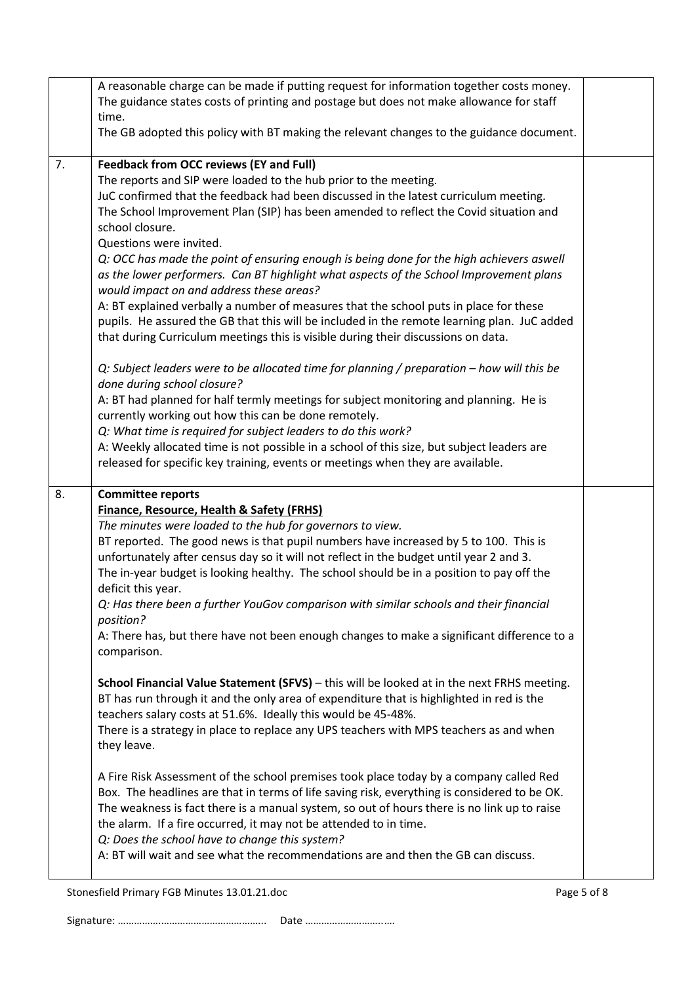|    | A reasonable charge can be made if putting request for information together costs money.<br>The guidance states costs of printing and postage but does not make allowance for staff |  |  |  |  |
|----|-------------------------------------------------------------------------------------------------------------------------------------------------------------------------------------|--|--|--|--|
|    | time.                                                                                                                                                                               |  |  |  |  |
|    | The GB adopted this policy with BT making the relevant changes to the guidance document.                                                                                            |  |  |  |  |
| 7. | <b>Feedback from OCC reviews (EY and Full)</b>                                                                                                                                      |  |  |  |  |
|    | The reports and SIP were loaded to the hub prior to the meeting.                                                                                                                    |  |  |  |  |
|    | JuC confirmed that the feedback had been discussed in the latest curriculum meeting.                                                                                                |  |  |  |  |
|    | The School Improvement Plan (SIP) has been amended to reflect the Covid situation and                                                                                               |  |  |  |  |
|    | school closure.<br>Questions were invited.                                                                                                                                          |  |  |  |  |
|    | Q: OCC has made the point of ensuring enough is being done for the high achievers aswell                                                                                            |  |  |  |  |
|    | as the lower performers. Can BT highlight what aspects of the School Improvement plans                                                                                              |  |  |  |  |
|    | would impact on and address these areas?                                                                                                                                            |  |  |  |  |
|    | A: BT explained verbally a number of measures that the school puts in place for these                                                                                               |  |  |  |  |
|    | pupils. He assured the GB that this will be included in the remote learning plan. JuC added                                                                                         |  |  |  |  |
|    | that during Curriculum meetings this is visible during their discussions on data.                                                                                                   |  |  |  |  |
|    | Q: Subject leaders were to be allocated time for planning / preparation - how will this be                                                                                          |  |  |  |  |
|    | done during school closure?                                                                                                                                                         |  |  |  |  |
|    | A: BT had planned for half termly meetings for subject monitoring and planning. He is                                                                                               |  |  |  |  |
|    | currently working out how this can be done remotely.                                                                                                                                |  |  |  |  |
|    | Q: What time is required for subject leaders to do this work?                                                                                                                       |  |  |  |  |
|    | A: Weekly allocated time is not possible in a school of this size, but subject leaders are                                                                                          |  |  |  |  |
|    | released for specific key training, events or meetings when they are available.                                                                                                     |  |  |  |  |
| 8. | <b>Committee reports</b>                                                                                                                                                            |  |  |  |  |
|    | <b>Finance, Resource, Health &amp; Safety (FRHS)</b>                                                                                                                                |  |  |  |  |
|    | The minutes were loaded to the hub for governors to view.                                                                                                                           |  |  |  |  |
|    | BT reported. The good news is that pupil numbers have increased by 5 to 100. This is                                                                                                |  |  |  |  |
|    |                                                                                                                                                                                     |  |  |  |  |
|    | unfortunately after census day so it will not reflect in the budget until year 2 and 3.                                                                                             |  |  |  |  |
|    | The in-year budget is looking healthy. The school should be in a position to pay off the                                                                                            |  |  |  |  |
|    | deficit this year.<br>Q: Has there been a further YouGov comparison with similar schools and their financial                                                                        |  |  |  |  |
|    | position?                                                                                                                                                                           |  |  |  |  |
|    | A: There has, but there have not been enough changes to make a significant difference to a                                                                                          |  |  |  |  |
|    | comparison.                                                                                                                                                                         |  |  |  |  |
|    |                                                                                                                                                                                     |  |  |  |  |
|    | School Financial Value Statement (SFVS) - this will be looked at in the next FRHS meeting.                                                                                          |  |  |  |  |
|    | BT has run through it and the only area of expenditure that is highlighted in red is the<br>teachers salary costs at 51.6%. Ideally this would be 45-48%.                           |  |  |  |  |
|    | There is a strategy in place to replace any UPS teachers with MPS teachers as and when                                                                                              |  |  |  |  |
|    | they leave.                                                                                                                                                                         |  |  |  |  |
|    | A Fire Risk Assessment of the school premises took place today by a company called Red                                                                                              |  |  |  |  |
|    | Box. The headlines are that in terms of life saving risk, everything is considered to be OK.                                                                                        |  |  |  |  |
|    | The weakness is fact there is a manual system, so out of hours there is no link up to raise                                                                                         |  |  |  |  |
|    | the alarm. If a fire occurred, it may not be attended to in time.                                                                                                                   |  |  |  |  |
|    | Q: Does the school have to change this system?                                                                                                                                      |  |  |  |  |
|    | A: BT will wait and see what the recommendations are and then the GB can discuss.                                                                                                   |  |  |  |  |

Stonesfield Primary FGB Minutes 13.01.21.doc Page 5 of 8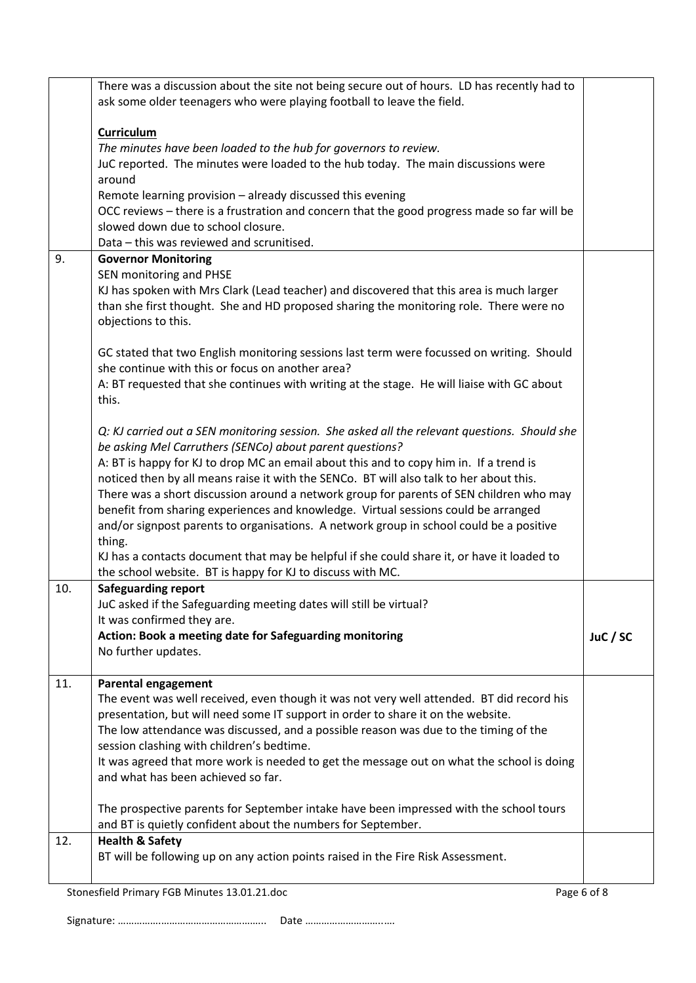|     | There was a discussion about the site not being secure out of hours. LD has recently had to<br>ask some older teenagers who were playing football to leave the field. |          |
|-----|-----------------------------------------------------------------------------------------------------------------------------------------------------------------------|----------|
|     |                                                                                                                                                                       |          |
|     | <b>Curriculum</b>                                                                                                                                                     |          |
|     | The minutes have been loaded to the hub for governors to review.                                                                                                      |          |
|     | JuC reported. The minutes were loaded to the hub today. The main discussions were                                                                                     |          |
|     | around                                                                                                                                                                |          |
|     | Remote learning provision - already discussed this evening                                                                                                            |          |
|     | OCC reviews - there is a frustration and concern that the good progress made so far will be                                                                           |          |
|     | slowed down due to school closure.                                                                                                                                    |          |
|     | Data - this was reviewed and scrunitised.                                                                                                                             |          |
| 9.  | <b>Governor Monitoring</b>                                                                                                                                            |          |
|     | SEN monitoring and PHSE                                                                                                                                               |          |
|     | KJ has spoken with Mrs Clark (Lead teacher) and discovered that this area is much larger                                                                              |          |
|     | than she first thought. She and HD proposed sharing the monitoring role. There were no<br>objections to this.                                                         |          |
|     |                                                                                                                                                                       |          |
|     | GC stated that two English monitoring sessions last term were focussed on writing. Should                                                                             |          |
|     | she continue with this or focus on another area?                                                                                                                      |          |
|     | A: BT requested that she continues with writing at the stage. He will liaise with GC about                                                                            |          |
|     | this.                                                                                                                                                                 |          |
|     |                                                                                                                                                                       |          |
|     | Q: KJ carried out a SEN monitoring session. She asked all the relevant questions. Should she                                                                          |          |
|     | be asking Mel Carruthers (SENCo) about parent questions?                                                                                                              |          |
|     | A: BT is happy for KJ to drop MC an email about this and to copy him in. If a trend is                                                                                |          |
|     | noticed then by all means raise it with the SENCo. BT will also talk to her about this.                                                                               |          |
|     | There was a short discussion around a network group for parents of SEN children who may                                                                               |          |
|     | benefit from sharing experiences and knowledge. Virtual sessions could be arranged                                                                                    |          |
|     | and/or signpost parents to organisations. A network group in school could be a positive                                                                               |          |
|     | thing.                                                                                                                                                                |          |
|     | KJ has a contacts document that may be helpful if she could share it, or have it loaded to                                                                            |          |
|     | the school website. BT is happy for KJ to discuss with MC.                                                                                                            |          |
| 10. | <b>Safeguarding report</b>                                                                                                                                            |          |
|     | JuC asked if the Safeguarding meeting dates will still be virtual?                                                                                                    |          |
|     | It was confirmed they are.                                                                                                                                            |          |
|     | Action: Book a meeting date for Safeguarding monitoring<br>No further updates.                                                                                        | JuC / SC |
|     |                                                                                                                                                                       |          |
| 11. | <b>Parental engagement</b>                                                                                                                                            |          |
|     | The event was well received, even though it was not very well attended. BT did record his                                                                             |          |
|     | presentation, but will need some IT support in order to share it on the website.                                                                                      |          |
|     | The low attendance was discussed, and a possible reason was due to the timing of the                                                                                  |          |
|     | session clashing with children's bedtime.                                                                                                                             |          |
|     | It was agreed that more work is needed to get the message out on what the school is doing                                                                             |          |
|     | and what has been achieved so far.                                                                                                                                    |          |
|     | The prospective parents for September intake have been impressed with the school tours                                                                                |          |
|     | and BT is quietly confident about the numbers for September.                                                                                                          |          |
| 12. | <b>Health &amp; Safety</b>                                                                                                                                            |          |
|     | BT will be following up on any action points raised in the Fire Risk Assessment.                                                                                      |          |
|     |                                                                                                                                                                       |          |
|     | Stonesfield Primary FGB Minutes 13.01.21.doc<br>Page 6 of 8                                                                                                           |          |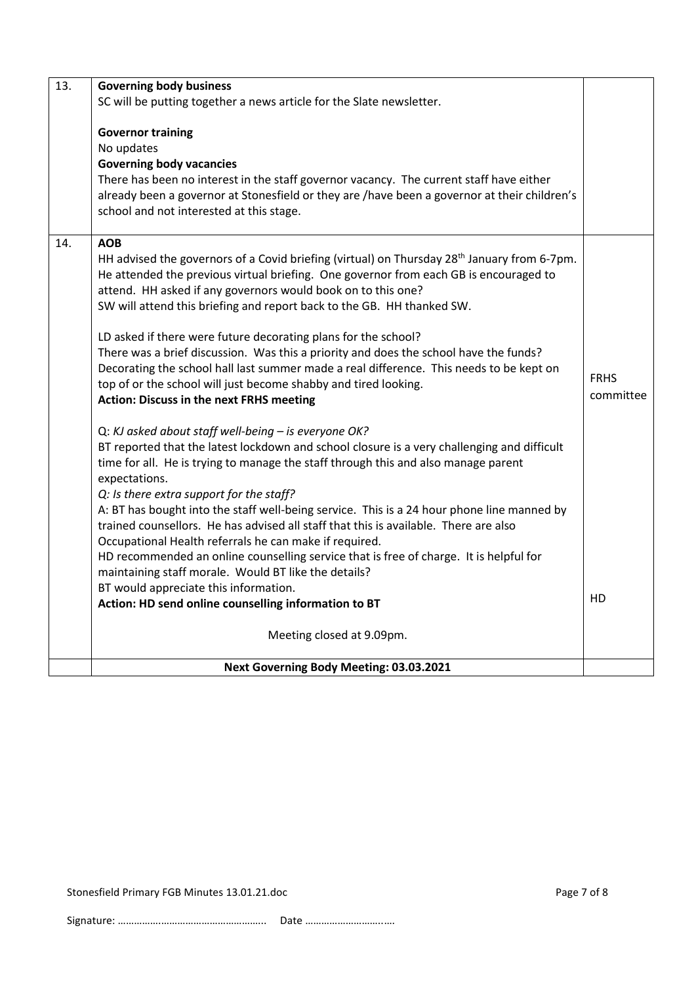| 13. | <b>Governing body business</b>                                                                                                                                                          |             |  |  |
|-----|-----------------------------------------------------------------------------------------------------------------------------------------------------------------------------------------|-------------|--|--|
|     | SC will be putting together a news article for the Slate newsletter.                                                                                                                    |             |  |  |
|     |                                                                                                                                                                                         |             |  |  |
|     | <b>Governor training</b>                                                                                                                                                                |             |  |  |
|     | No updates                                                                                                                                                                              |             |  |  |
|     | <b>Governing body vacancies</b>                                                                                                                                                         |             |  |  |
|     | There has been no interest in the staff governor vacancy. The current staff have either<br>already been a governor at Stonesfield or they are /have been a governor at their children's |             |  |  |
|     | school and not interested at this stage.                                                                                                                                                |             |  |  |
|     |                                                                                                                                                                                         |             |  |  |
| 14. | <b>AOB</b>                                                                                                                                                                              |             |  |  |
|     | HH advised the governors of a Covid briefing (virtual) on Thursday 28 <sup>th</sup> January from 6-7pm.                                                                                 |             |  |  |
|     | He attended the previous virtual briefing. One governor from each GB is encouraged to                                                                                                   |             |  |  |
|     | attend. HH asked if any governors would book on to this one?                                                                                                                            |             |  |  |
|     | SW will attend this briefing and report back to the GB. HH thanked SW.                                                                                                                  |             |  |  |
|     |                                                                                                                                                                                         |             |  |  |
|     | LD asked if there were future decorating plans for the school?<br>There was a brief discussion. Was this a priority and does the school have the funds?                                 |             |  |  |
|     | Decorating the school hall last summer made a real difference. This needs to be kept on                                                                                                 |             |  |  |
|     | top of or the school will just become shabby and tired looking.                                                                                                                         | <b>FRHS</b> |  |  |
|     | <b>Action: Discuss in the next FRHS meeting</b>                                                                                                                                         | committee   |  |  |
|     |                                                                                                                                                                                         |             |  |  |
|     | Q: KJ asked about staff well-being - is everyone OK?                                                                                                                                    |             |  |  |
|     | BT reported that the latest lockdown and school closure is a very challenging and difficult                                                                                             |             |  |  |
|     | time for all. He is trying to manage the staff through this and also manage parent                                                                                                      |             |  |  |
|     | expectations.<br>Q: Is there extra support for the staff?                                                                                                                               |             |  |  |
|     | A: BT has bought into the staff well-being service. This is a 24 hour phone line manned by                                                                                              |             |  |  |
|     | trained counsellors. He has advised all staff that this is available. There are also                                                                                                    |             |  |  |
|     | Occupational Health referrals he can make if required.                                                                                                                                  |             |  |  |
|     | HD recommended an online counselling service that is free of charge. It is helpful for                                                                                                  |             |  |  |
|     | maintaining staff morale. Would BT like the details?                                                                                                                                    |             |  |  |
|     | BT would appreciate this information.                                                                                                                                                   |             |  |  |
|     | Action: HD send online counselling information to BT                                                                                                                                    | HD          |  |  |
|     | Meeting closed at 9.09pm.                                                                                                                                                               |             |  |  |
|     |                                                                                                                                                                                         |             |  |  |
|     | Next Governing Body Meeting: 03.03.2021                                                                                                                                                 |             |  |  |

Stonesfield Primary FGB Minutes 13.01.21.doc Page 7 of 8